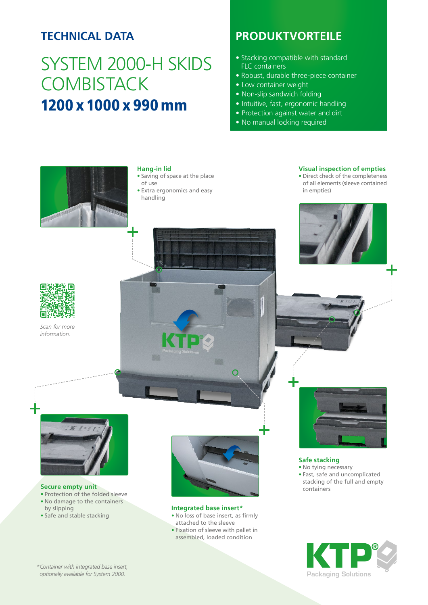## **TECHNICAL DATA**

# SYSTEM 2000-H SKIDS **COMBISTACK** 1200 x 1000 x 990 mm

## **PRODUKTVORTEILE**

- Stacking compatible with standard FLC containers
- Robust, durable three-piece container
- Low container weight
- Non-slip sandwich folding
- Intuitive, fast, ergonomic handling
- Protection against water and dirt
- No manual locking required



### **Hang-in lid**

- Saving of space at the place of use
- Extra ergonomics and easy handling

### **Visual inspection of empties**

• Direct check of the completeness of all elements (sleeve contained in empties)



*Scan for more information.*



#### **Secure empty unit**

- Protection of the folded sleeve
- No damage to the containers by slipping
- Safe and stable stacking



 $\bigcap$ 

#### **Integrated base insert\***

- No loss of base insert, as firmly attached to the sleeve
- Fixation of sleeve with pallet in assembled, loaded condition



**Safe stacking** • No tying necessary • Fast, safe and uncomplicated stacking of the full and empty

containers



*\*Container with integrated base insert, optionally available for System 2000.*